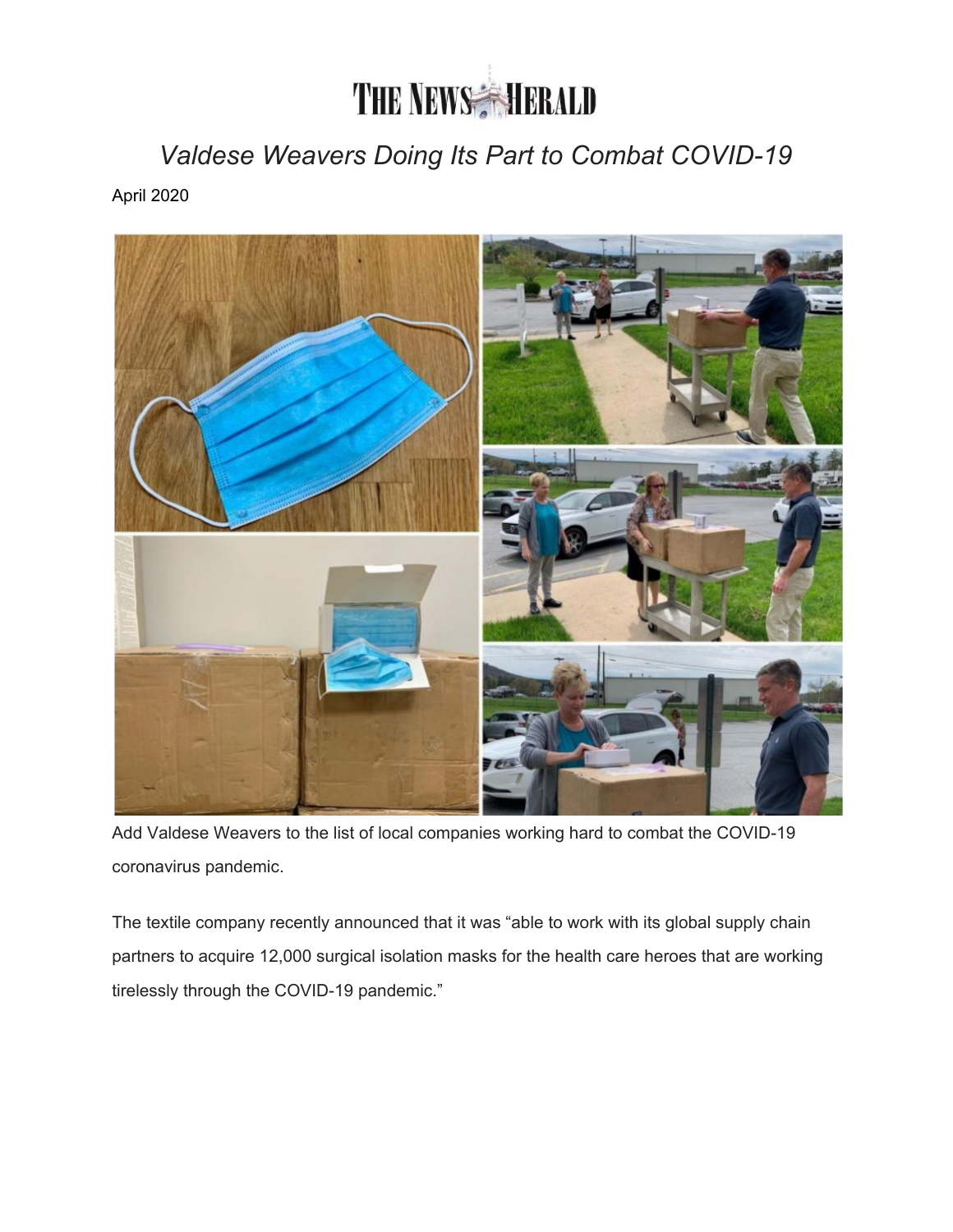## **THE NEWS HERALD**

*Valdese Weavers Doing Its Part to Combat COVID-19*

April 2020



Add Valdese Weavers to the list of local companies working hard to combat the COVID-19 coronavirus pandemic.

The textile company recently announced that it was "able to work with its global supply chain partners to acquire 12,000 surgical isolation masks for the health care heroes that are working tirelessly through the COVID-19 pandemic."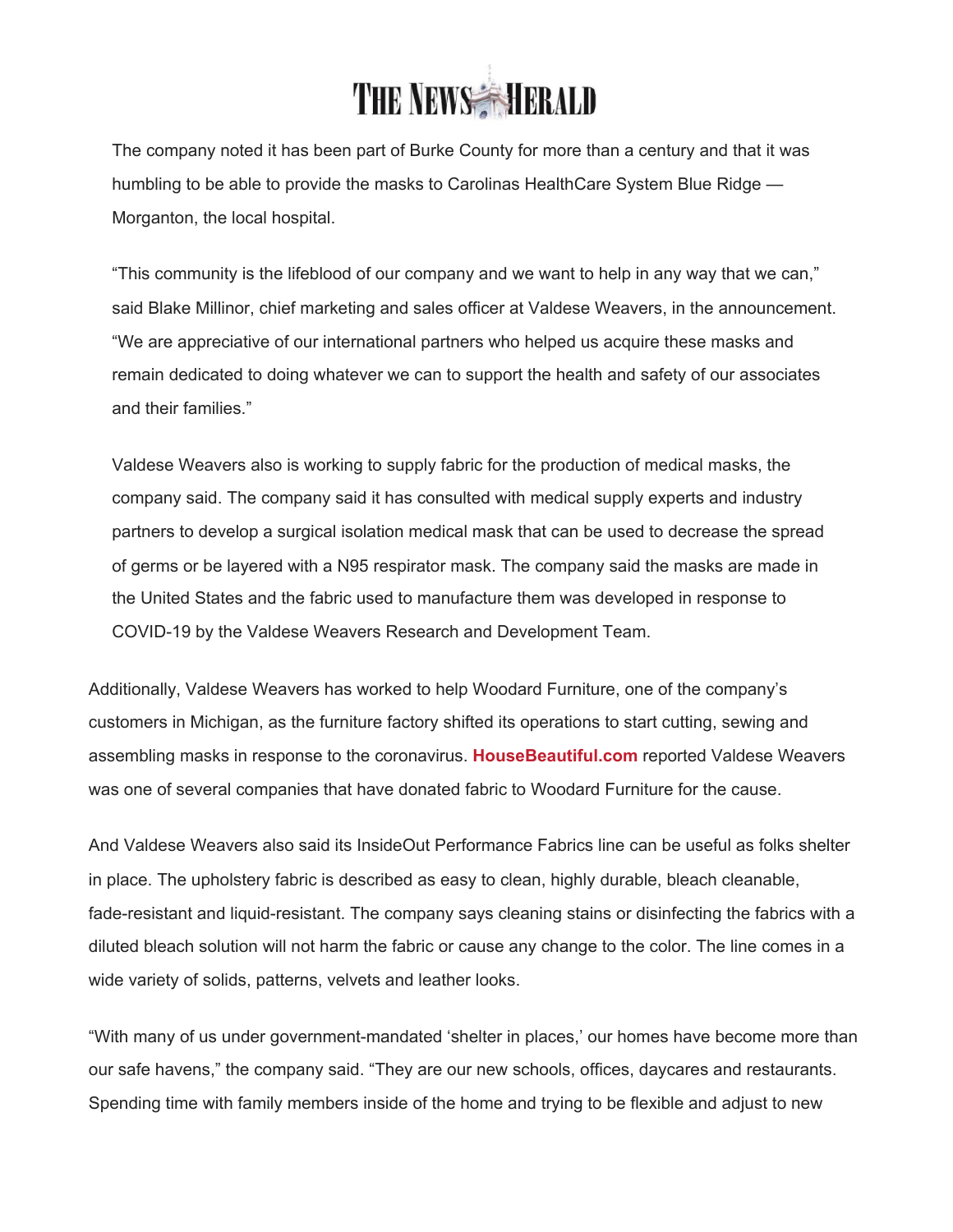

The company noted it has been part of Burke County for more than a century and that it was humbling to be able to provide the masks to Carolinas HealthCare System Blue Ridge — Morganton, the local hospital.

"This community is the lifeblood of our company and we want to help in any way that we can," said Blake Millinor, chief marketing and sales officer at Valdese Weavers, in the announcement. "We are appreciative of our international partners who helped us acquire these masks and remain dedicated to doing whatever we can to support the health and safety of our associates and their families."

Valdese Weavers also is working to supply fabric for the production of medical masks, the company said. The company said it has consulted with medical supply experts and industry partners to develop a surgical isolation medical mask that can be used to decrease the spread of germs or be layered with a N95 respirator mask. The company said the masks are made in the United States and the fabric used to manufacture them was developed in response to COVID-19 by the Valdese Weavers Research and Development Team.

Additionally, Valdese Weavers has worked to help Woodard Furniture, one of the company's customers in Michigan, as the furniture factory shifted its operations to start cutting, sewing and assembling masks in response to the coronavirus. **[HouseBeautiful.com](http://housebeautiful.com/)** reported Valdese Weavers was one of several companies that have donated fabric to Woodard Furniture for the cause.

And Valdese Weavers also said its InsideOut Performance Fabrics line can be useful as folks shelter in place. The upholstery fabric is described as easy to clean, highly durable, bleach cleanable, fade-resistant and liquid-resistant. The company says cleaning stains or disinfecting the fabrics with a diluted bleach solution will not harm the fabric or cause any change to the color. The line comes in a wide variety of solids, patterns, velvets and leather looks.

"With many of us under government-mandated 'shelter in places,' our homes have become more than our safe havens," the company said. "They are our new schools, offices, daycares and restaurants. Spending time with family members inside of the home and trying to be flexible and adjust to new